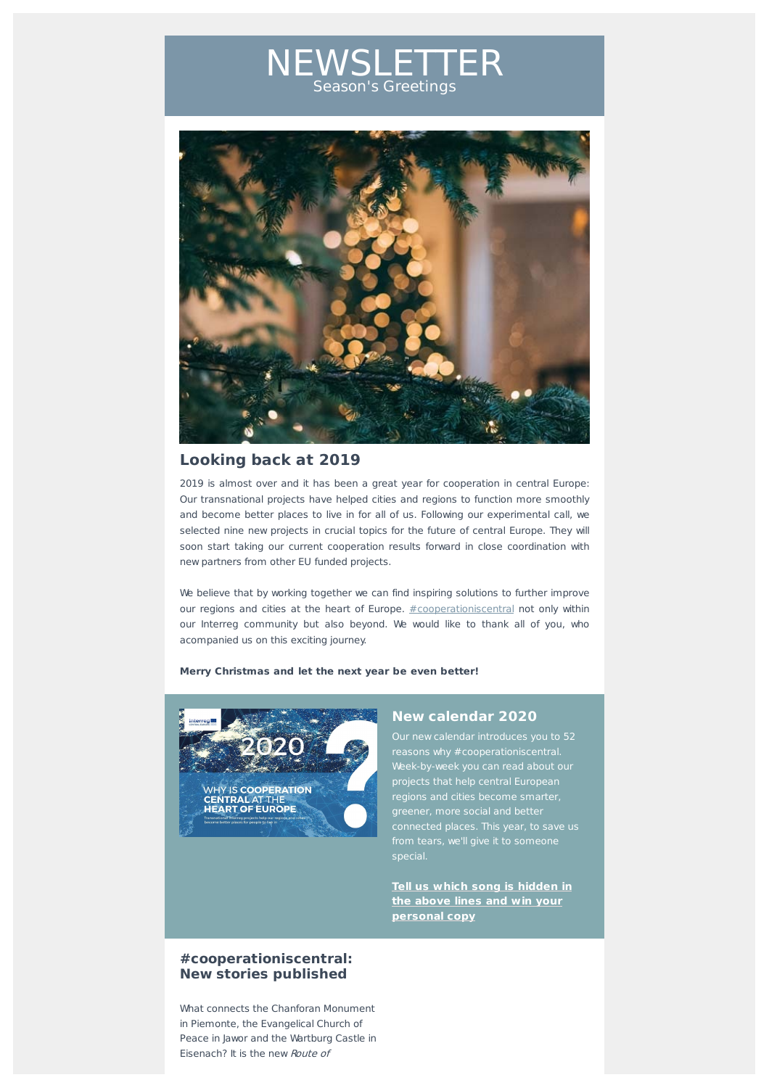# NEWSLETTER Season's Greetings



# **Looking back at 2019**

2019 is almost over and it has been a great year for cooperation in central Europe: Our transnational projects have helped cities and regions to function more smoothly and become better places to live in for all of us. Following our experimental call, we selected nine new projects in crucial topics for the future of central Europe. They will soon start taking our current cooperation results forward in close coordination with new partners from other EU funded projects.

We believe that by working together we can find inspiring solutions to further improve our regions and cities at the heart of Europe. #cooperationiscentral not only within our Interreg community but also beyond. We would like to thank all of you, who acompanied us on this exciting journey.

#### Merry Christmas and let the next year be even better!



## **New calendar 2020**

Our new calendar introduces you to 52 reasons why #cooperationiscentral. Week-by-week you can read about our projects that help central European er, more social and bette connected places. This year, to save us from tears, we'll give it to someone special.

**Tell us which song is hidden in the above lines and win your personal copy**

### **#cooperationiscentral: New stories published**

What connects the Chanforan Monument in Piemonte, the Evangelical Church of Peace in Jawor and the Wartburg Castle in Eisenach? It is the new Route of